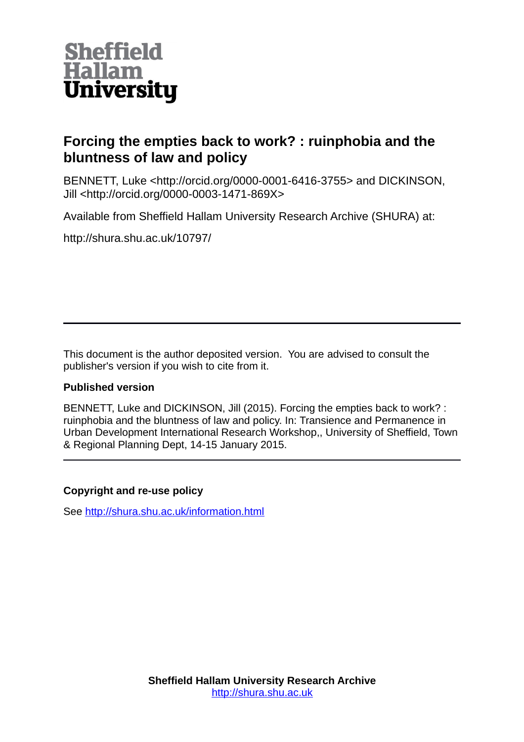

# **Forcing the empties back to work? : ruinphobia and the bluntness of law and policy**

BENNETT, Luke <http://orcid.org/0000-0001-6416-3755> and DICKINSON, Jill <http://orcid.org/0000-0003-1471-869X>

Available from Sheffield Hallam University Research Archive (SHURA) at:

http://shura.shu.ac.uk/10797/

This document is the author deposited version. You are advised to consult the publisher's version if you wish to cite from it.

## **Published version**

BENNETT, Luke and DICKINSON, Jill (2015). Forcing the empties back to work? : ruinphobia and the bluntness of law and policy. In: Transience and Permanence in Urban Development International Research Workshop,, University of Sheffield, Town & Regional Planning Dept, 14-15 January 2015.

## **Copyright and re-use policy**

See<http://shura.shu.ac.uk/information.html>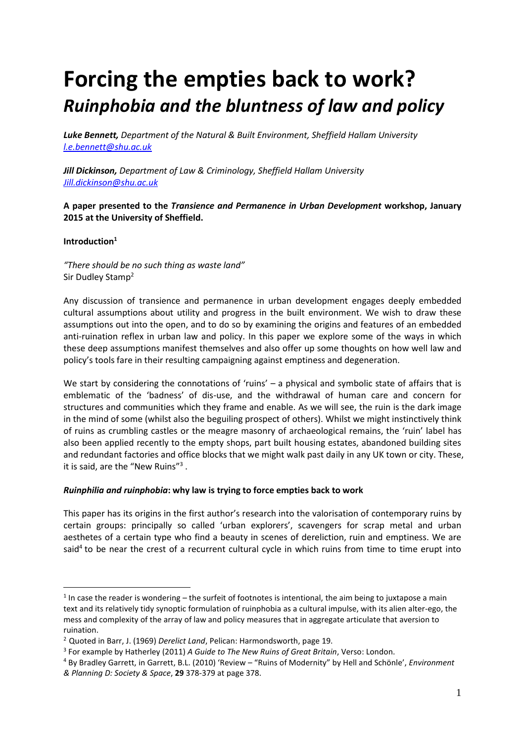# **Forcing the empties back to work?** *Ruinphobia and the bluntness of law and policy*

*Luke Bennett, Department of the Natural & Built Environment, Sheffield Hallam University [l.e.bennett@shu.ac.uk](mailto:l.e.bennett@shu.ac.uk)*

*Jill Dickinson, Department of Law & Criminology, Sheffield Hallam University [Jill.dickinson@shu.ac.uk](mailto:Jill.dickinson@shu.ac.uk)*

**A paper presented to the** *Transience and Permanence in Urban Development* **workshop, January 2015 at the University of Sheffield.**

#### **Introduction<sup>1</sup>**

1

*"There should be no such thing as waste land"* Sir Dudley Stamp<sup>2</sup>

Any discussion of transience and permanence in urban development engages deeply embedded cultural assumptions about utility and progress in the built environment. We wish to draw these assumptions out into the open, and to do so by examining the origins and features of an embedded anti-ruination reflex in urban law and policy. In this paper we explore some of the ways in which these deep assumptions manifest themselves and also offer up some thoughts on how well law and policy's tools fare in their resulting campaigning against emptiness and degeneration.

We start by considering the connotations of 'ruins' – a physical and symbolic state of affairs that is emblematic of the 'badness' of dis-use, and the withdrawal of human care and concern for structures and communities which they frame and enable. As we will see, the ruin is the dark image in the mind of some (whilst also the beguiling prospect of others). Whilst we might instinctively think of ruins as crumbling castles or the meagre masonry of archaeological remains, the 'ruin' label has also been applied recently to the empty shops, part built housing estates, abandoned building sites and redundant factories and office blocks that we might walk past daily in any UK town or city. These, it is said, are the "New Ruins"<sup>3</sup>.

#### *Ruinphilia and ruinphobia***: why law is trying to force empties back to work**

This paper has its origins in the first author's research into the valorisation of contemporary ruins by certain groups: principally so called 'urban explorers', scavengers for scrap metal and urban aesthetes of a certain type who find a beauty in scenes of dereliction, ruin and emptiness. We are said<sup>4</sup> to be near the crest of a recurrent cultural cycle in which ruins from time to time erupt into

 $1$  In case the reader is wondering – the surfeit of footnotes is intentional, the aim being to juxtapose a main text and its relatively tidy synoptic formulation of ruinphobia as a cultural impulse, with its alien alter-ego, the mess and complexity of the array of law and policy measures that in aggregate articulate that aversion to ruination.

<sup>2</sup> Quoted in Barr, J. (1969) *Derelict Land*, Pelican: Harmondsworth, page 19.

<sup>3</sup> For example by Hatherley (2011) *A Guide to The New Ruins of Great Britain*, Verso: London.

<sup>4</sup> By Bradley Garrett, in Garrett, B.L. (2010) 'Review – "Ruins of Modernity" by Hell and Schönle', *Environment & Planning D: Society & Space*, **29** 378-379 at page 378.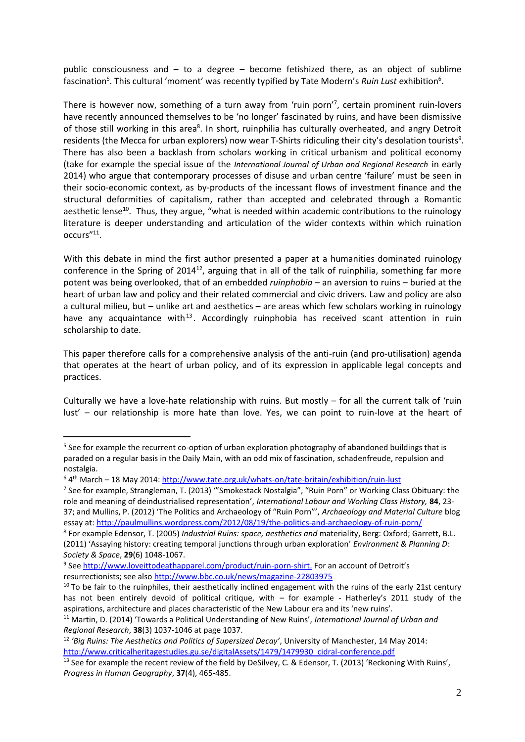public consciousness and – to a degree – become fetishized there, as an object of sublime fascination<sup>5</sup>. This cultural 'moment' was recently typified by Tate Modern's Ruin Lust exhibition<sup>6</sup>.

There is however now, something of a turn away from 'ruin porn'<sup>7</sup> , certain prominent ruin-lovers have recently announced themselves to be 'no longer' fascinated by ruins, and have been dismissive of those still working in this area<sup>8</sup>. In short, ruinphilia has culturally overheated, and angry Detroit residents (the Mecca for urban explorers) now wear T-Shirts ridiculing their city's desolation tourists<sup>9</sup>. There has also been a backlash from scholars working in critical urbanism and political economy (take for example the special issue of the *International Journal of Urban and Regional Research* in early 2014) who argue that contemporary processes of disuse and urban centre 'failure' must be seen in their socio-economic context, as by-products of the incessant flows of investment finance and the structural deformities of capitalism, rather than accepted and celebrated through a Romantic aesthetic lense<sup>10</sup>. Thus, they argue, "what is needed within academic contributions to the ruinology literature is deeper understanding and articulation of the wider contexts within which ruination occurs"<sup>11</sup> .

With this debate in mind the first author presented a paper at a humanities dominated ruinology conference in the Spring of 2014<sup>12</sup>, arguing that in all of the talk of ruinphilia, something far more potent was being overlooked, that of an embedded *ruinphobia* – an aversion to ruins – buried at the heart of urban law and policy and their related commercial and civic drivers. Law and policy are also a cultural milieu, but – unlike art and aesthetics – are areas which few scholars working in ruinology have any acquaintance with<sup>13</sup>. Accordingly ruinphobia has received scant attention in ruin scholarship to date.

This paper therefore calls for a comprehensive analysis of the anti-ruin (and pro-utilisation) agenda that operates at the heart of urban policy, and of its expression in applicable legal concepts and practices.

Culturally we have a love-hate relationship with ruins. But mostly – for all the current talk of 'ruin lust' – our relationship is more hate than love. Yes, we can point to ruin-love at the heart of

<sup>&</sup>lt;sup>5</sup> See for example the recurrent co-option of urban exploration photography of abandoned buildings that is paraded on a regular basis in the Daily Main, with an odd mix of fascination, schadenfreude, repulsion and nostalgia.

<sup>&</sup>lt;sup>6</sup> 4<sup>th</sup> March – 18 May 2014:<http://www.tate.org.uk/whats-on/tate-britain/exhibition/ruin-lust>

<sup>7</sup> See for example, Strangleman, T. (2013) '"Smokestack Nostalgia", "Ruin Porn" or Working Class Obituary: the role and meaning of deindustrialised representation', *International Labour and Working Class History,* **84**, 23- 37; and Mullins, P. (2012) 'The Politics and Archaeology of "Ruin Porn"', *Archaeology and Material Culture* blog essay at[: http://paulmullins.wordpress.com/2012/08/19/the-politics-and-archaeology-of-ruin-porn/](http://paulmullins.wordpress.com/2012/08/19/the-politics-and-archaeology-of-ruin-porn/)

<sup>8</sup> For example Edensor, T. (2005) *Industrial Ruins: space, aesthetics and* materiality, Berg: Oxford; Garrett, B.L. (2011) 'Assaying history: creating temporal junctions through urban exploration' *Environment & Planning D: Society & Space*, **29**(6) 1048-1067.

<sup>&</sup>lt;sup>9</sup> See [http://www.loveittodeathapparel.com/product/ruin-porn-shirt.](http://www.loveittodeathapparel.com/product/ruin-porn-shirt) For an account of Detroit's resurrectionists; see also<http://www.bbc.co.uk/news/magazine-22803975>

 $10$  To be fair to the ruinphiles, their aesthetically inclined engagement with the ruins of the early 21st century has not been entirely devoid of political critique, with – for example - Hatherley's 2011 study of the aspirations, architecture and places characteristic of the New Labour era and its 'new ruins'*.*

<sup>11</sup> Martin, D. (2014) 'Towards a Political Understanding of New Ruins', *International Journal of Urban and Regional Research*, **38**(3) 1037-1046 at page 1037.

<sup>12</sup> *'Big Ruins: The Aesthetics and Politics of Supersized Decay'*, University of Manchester, 14 May 2014: [http://www.criticalheritagestudies.gu.se/digitalAssets/1479/1479930\\_cidral-conference.pdf](http://www.criticalheritagestudies.gu.se/digitalAssets/1479/1479930_cidral-conference.pdf)

<sup>&</sup>lt;sup>13</sup> See for example the recent review of the field by DeSilvey, C. & Edensor, T. (2013) 'Reckoning With Ruins', *Progress in Human Geography*, **37**(4), 465-485.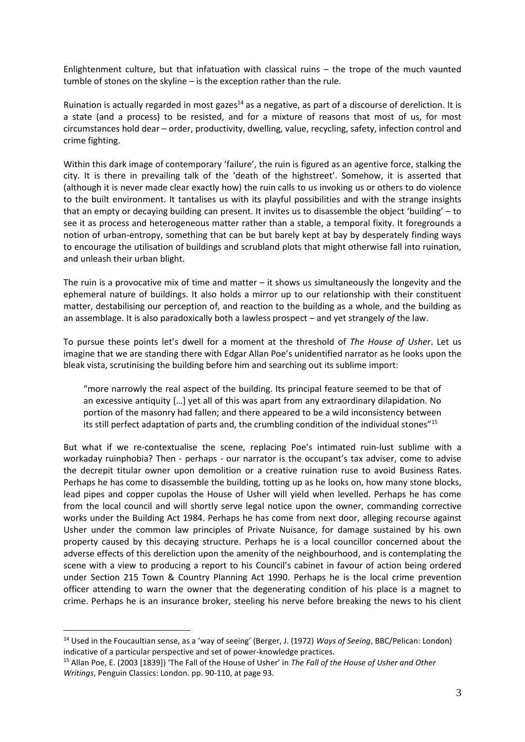Enlightenment culture, but that infatuation with classical ruins – the trope of the much vaunted tumble of stones on the skyline – is the exception rather than the rule.

Ruination is actually regarded in most gazes<sup>14</sup> as a negative, as part of a discourse of dereliction. It is a state (and a process) to be resisted, and for a mixture of reasons that most of us, for most circumstances hold dear – order, productivity, dwelling, value, recycling, safety, infection control and crime fighting.

Within this dark image of contemporary 'failure', the ruin is figured as an agentive force, stalking the city. It is there in prevailing talk of the 'death of the highstreet'. Somehow, it is asserted that (although it is never made clear exactly how) the ruin calls to us invoking us or others to do violence to the built environment. It tantalises us with its playful possibilities and with the strange insights that an empty or decaying building can present. It invites us to disassemble the object 'building' – to see it as process and heterogeneous matter rather than a stable, a temporal fixity. It foregrounds a notion of urban-entropy, something that can be but barely kept at bay by desperately finding ways to encourage the utilisation of buildings and scrubland plots that might otherwise fall into ruination, and unleash their urban blight.

The ruin is a provocative mix of time and matter – it shows us simultaneously the longevity and the ephemeral nature of buildings. It also holds a mirror up to our relationship with their constituent matter, destabilising our perception of, and reaction to the building as a whole, and the building as an assemblage. It is also paradoxically both a lawless prospect – and yet strangely *of* the law.

To pursue these points let's dwell for a moment at the threshold of *The House of Usher*. Let us imagine that we are standing there with Edgar Allan Poe's unidentified narrator as he looks upon the bleak vista, scrutinising the building before him and searching out its sublime import:

"more narrowly the real aspect of the building. Its principal feature seemed to be that of an excessive antiquity […] yet all of this was apart from any extraordinary dilapidation. No portion of the masonry had fallen; and there appeared to be a wild inconsistency between its still perfect adaptation of parts and, the crumbling condition of the individual stones"<sup>15</sup>

But what if we re-contextualise the scene, replacing Poe's intimated ruin-lust sublime with a workaday ruinphobia? Then - perhaps - our narrator is the occupant's tax adviser, come to advise the decrepit titular owner upon demolition or a creative ruination ruse to avoid Business Rates. Perhaps he has come to disassemble the building, totting up as he looks on, how many stone blocks, lead pipes and copper cupolas the House of Usher will yield when levelled. Perhaps he has come from the local council and will shortly serve legal notice upon the owner, commanding corrective works under the Building Act 1984. Perhaps he has come from next door, alleging recourse against Usher under the common law principles of Private Nuisance, for damage sustained by his own property caused by this decaying structure. Perhaps he is a local councillor concerned about the adverse effects of this dereliction upon the amenity of the neighbourhood, and is contemplating the scene with a view to producing a report to his Council's cabinet in favour of action being ordered under Section 215 Town & Country Planning Act 1990. Perhaps he is the local crime prevention officer attending to warn the owner that the degenerating condition of his place is a magnet to crime. Perhaps he is an insurance broker, steeling his nerve before breaking the news to his client

<sup>14</sup> Used in the Foucaultian sense, as a 'way of seeing' (Berger, J. (1972) *Ways of Seeing*, BBC/Pelican: London) indicative of a particular perspective and set of power-knowledge practices.

<sup>15</sup> Allan Poe, E. (2003 [1839]) 'The Fall of the House of Usher' in *The Fall of the House of Usher and Other Writings*, Penguin Classics: London. pp. 90-110, at page 93.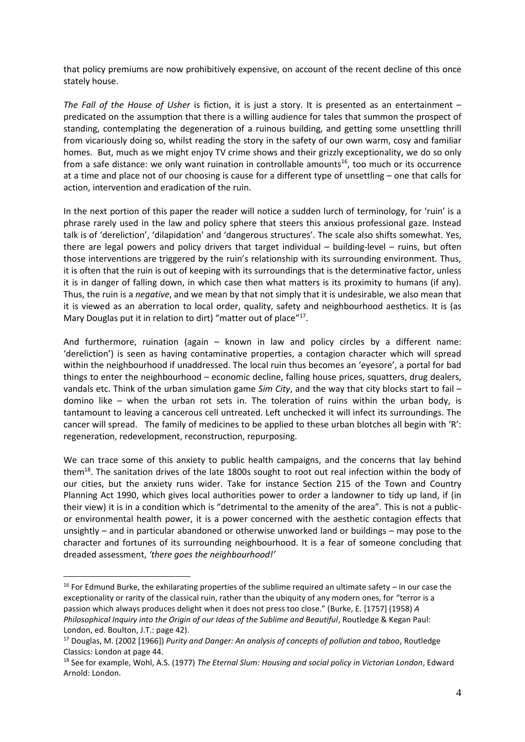that policy premiums are now prohibitively expensive, on account of the recent decline of this once stately house.

*The Fall of the House of Usher* is fiction, it is just a story. It is presented as an entertainment – predicated on the assumption that there is a willing audience for tales that summon the prospect of standing, contemplating the degeneration of a ruinous building, and getting some unsettling thrill from vicariously doing so, whilst reading the story in the safety of our own warm, cosy and familiar homes. But, much as we might enjoy TV crime shows and their grizzly exceptionality, we do so only from a safe distance: we only want ruination in controllable amounts<sup>16</sup>, too much or its occurrence at a time and place not of our choosing is cause for a different type of unsettling – one that calls for action, intervention and eradication of the ruin.

In the next portion of this paper the reader will notice a sudden lurch of terminology, for 'ruin' is a phrase rarely used in the law and policy sphere that steers this anxious professional gaze. Instead talk is of 'dereliction', 'dilapidation' and 'dangerous structures'. The scale also shifts somewhat. Yes, there are legal powers and policy drivers that target individual – building-level – ruins, but often those interventions are triggered by the ruin's relationship with its surrounding environment. Thus, it is often that the ruin is out of keeping with its surroundings that is the determinative factor, unless it is in danger of falling down, in which case then what matters is its proximity to humans (if any). Thus, the ruin is a *negative*, and we mean by that not simply that it is undesirable, we also mean that it is viewed as an aberration to local order, quality, safety and neighbourhood aesthetics. It is (as Mary Douglas put it in relation to dirt) "matter out of place"<sup>17</sup>.

And furthermore, ruination (again – known in law and policy circles by a different name: 'dereliction') is seen as having contaminative properties, a contagion character which will spread within the neighbourhood if unaddressed. The local ruin thus becomes an 'eyesore', a portal for bad things to enter the neighbourhood – economic decline, falling house prices, squatters, drug dealers, vandals etc. Think of the urban simulation game *Sim City*, and the way that city blocks start to fail – domino like – when the urban rot sets in. The toleration of ruins within the urban body, is tantamount to leaving a cancerous cell untreated. Left unchecked it will infect its surroundings. The cancer will spread. The family of medicines to be applied to these urban blotches all begin with 'R': regeneration, redevelopment, reconstruction, repurposing.

We can trace some of this anxiety to public health campaigns, and the concerns that lay behind them<sup>18</sup>. The sanitation drives of the late 1800s sought to root out real infection within the body of our cities, but the anxiety runs wider. Take for instance Section 215 of the Town and Country Planning Act 1990, which gives local authorities power to order a landowner to tidy up land, if (in their view) it is in a condition which is "detrimental to the amenity of the area". This is not a publicor environmental health power, it is a power concerned with the aesthetic contagion effects that unsightly – and in particular abandoned or otherwise unworked land or buildings – may pose to the character and fortunes of its surrounding neighbourhood. It is a fear of someone concluding that dreaded assessment, *'there goes the neighbourhood!'*

<sup>&</sup>lt;sup>16</sup> For Edmund Burke, the exhilarating properties of the sublime required an ultimate safety – in our case the exceptionality or rarity of the classical ruin, rather than the ubiquity of any modern ones, for "terror is a passion which always produces delight when it does not press too close." (Burke, E. [1757] (1958) *A Philosophical Inquiry into the Origin of our Ideas of the Sublime and Beautiful*, Routledge & Kegan Paul: London, ed. Boulton, J.T.: page 42).

<sup>17</sup> Douglas, M. (2002 [1966]) *Purity and Danger: An analysis of concepts of pollution and taboo*, Routledge Classics: London at page 44.

<sup>18</sup> See for example, Wohl, A.S. (1977) *The Eternal Slum: Housing and social policy in Victorian London*, Edward Arnold: London.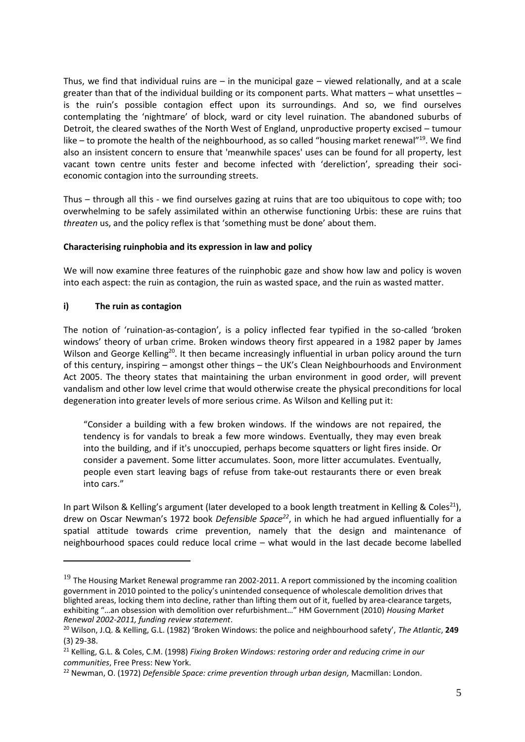Thus, we find that individual ruins are  $-$  in the municipal gaze  $-$  viewed relationally, and at a scale greater than that of the individual building or its component parts. What matters – what unsettles – is the ruin's possible contagion effect upon its surroundings. And so, we find ourselves contemplating the 'nightmare' of block, ward or city level ruination. The abandoned suburbs of Detroit, the cleared swathes of the North West of England, unproductive property excised – tumour like – to promote the health of the neighbourhood, as so called "housing market renewal"<sup>19</sup>. We find also an insistent concern to ensure that 'meanwhile spaces' uses can be found for all property, lest vacant town centre units fester and become infected with 'dereliction', spreading their socieconomic contagion into the surrounding streets.

Thus – through all this - we find ourselves gazing at ruins that are too ubiquitous to cope with; too overwhelming to be safely assimilated within an otherwise functioning Urbis: these are ruins that *threaten* us, and the policy reflex is that 'something must be done' about them.

#### **Characterising ruinphobia and its expression in law and policy**

We will now examine three features of the ruinphobic gaze and show how law and policy is woven into each aspect: the ruin as contagion, the ruin as wasted space, and the ruin as wasted matter.

#### **i) The ruin as contagion**

1

The notion of 'ruination-as-contagion', is a policy inflected fear typified in the so-called 'broken windows' theory of urban crime. Broken windows theory first appeared in a 1982 paper by James Wilson and George Kelling<sup>20</sup>. It then became increasingly influential in urban policy around the turn of this century, inspiring – amongst other things – the UK's Clean Neighbourhoods and Environment Act 2005. The theory states that maintaining the urban environment in good order, will prevent vandalism and other low level crime that would otherwise create the physical preconditions for local degeneration into greater levels of more serious crime. As Wilson and Kelling put it:

"Consider a building with a few broken windows. If the windows are not repaired, the tendency is for vandals to break a few more windows. Eventually, they may even break into the building, and if it's unoccupied, perhaps become squatters or light fires inside. Or consider a pavement. Some litter accumulates. Soon, more litter accumulates. Eventually, people even start leaving bags of refuse from take-out restaurants there or even break into cars."

In part Wilson & Kelling's argument (later developed to a book length treatment in Kelling & Coles<sup>21</sup>), drew on Oscar Newman's 1972 book *Defensible Space<sup>22</sup>*, in which he had argued influentially for a spatial attitude towards crime prevention, namely that the design and maintenance of neighbourhood spaces could reduce local crime – what would in the last decade become labelled

 $19$  The Housing Market Renewal programme ran 2002-2011. A report commissioned by the incoming coalition government in 2010 pointed to the policy's unintended consequence of wholescale demolition drives that blighted areas, locking them into decline, rather than lifting them out of it, fuelled by area-clearance targets, exhibiting "…an obsession with demolition over refurbishment…" HM Government (2010) *Housing Market Renewal 2002-2011, funding review statement*.

<sup>20</sup> Wilson, J.Q. & Kelling, G.L. (1982) 'Broken Windows: the police and neighbourhood safety', *The Atlantic*, **249** (3) 29-38.

<sup>21</sup> Kelling, G.L. & Coles, C.M. (1998) *Fixing Broken Windows: restoring order and reducing crime in our communities*, Free Press: New York.

<sup>22</sup> Newman, O. (1972) *Defensible Space: crime prevention through urban design,* Macmillan: London.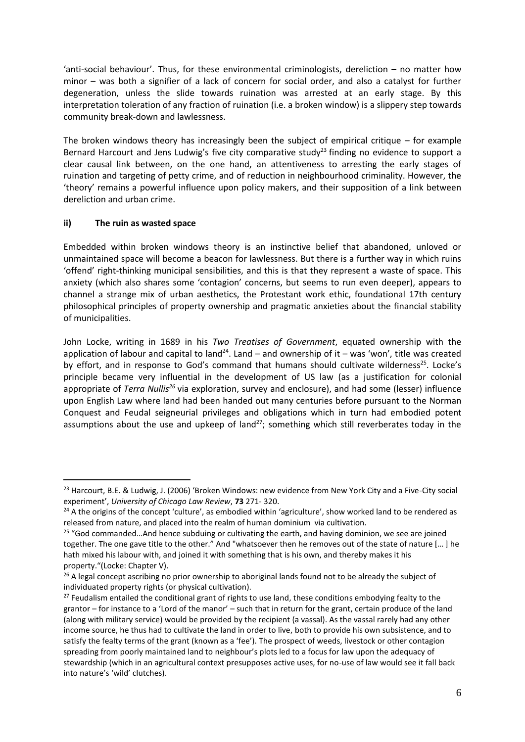'anti-social behaviour'. Thus, for these environmental criminologists, dereliction – no matter how minor – was both a signifier of a lack of concern for social order, and also a catalyst for further degeneration, unless the slide towards ruination was arrested at an early stage. By this interpretation toleration of any fraction of ruination (i.e. a broken window) is a slippery step towards community break-down and lawlessness.

The broken windows theory has increasingly been the subject of empirical critique  $-$  for example Bernard Harcourt and Jens Ludwig's five city comparative study<sup>23</sup> finding no evidence to support a clear causal link between, on the one hand, an attentiveness to arresting the early stages of ruination and targeting of petty crime, and of reduction in neighbourhood criminality. However, the 'theory' remains a powerful influence upon policy makers, and their supposition of a link between dereliction and urban crime.

#### **ii) The ruin as wasted space**

<u>.</u>

Embedded within broken windows theory is an instinctive belief that abandoned, unloved or unmaintained space will become a beacon for lawlessness. But there is a further way in which ruins 'offend' right-thinking municipal sensibilities, and this is that they represent a waste of space. This anxiety (which also shares some 'contagion' concerns, but seems to run even deeper), appears to channel a strange mix of urban aesthetics, the Protestant work ethic, foundational 17th century philosophical principles of property ownership and pragmatic anxieties about the financial stability of municipalities.

John Locke, writing in 1689 in his *Two Treatises of Government*, equated ownership with the application of labour and capital to land<sup>24</sup>. Land – and ownership of it – was 'won', title was created by effort, and in response to God's command that humans should cultivate wilderness<sup>25</sup>. Locke's principle became very influential in the development of US law (as a justification for colonial appropriate of *Terra Nullis<sup>26</sup>* via exploration, survey and enclosure), and had some (lesser) influence upon English Law where land had been handed out many centuries before pursuant to the Norman Conquest and Feudal seigneurial privileges and obligations which in turn had embodied potent assumptions about the use and upkeep of land<sup>27</sup>; something which still reverberates today in the

<sup>&</sup>lt;sup>23</sup> Harcourt, B.E. & Ludwig, J. (2006) 'Broken Windows: new evidence from New York City and a Five-City social experiment', *University of Chicago Law Review*, **73** 271- 320.

<sup>&</sup>lt;sup>24</sup> A the origins of the concept 'culture', as embodied within 'agriculture', show worked land to be rendered as released from nature, and placed into the realm of human dominium via cultivation.

 $25$  "God commanded... And hence subduing or cultivating the earth, and having dominion, we see are joined together. The one gave title to the other." And "whatsoever then he removes out of the state of nature [… ] he hath mixed his labour with, and joined it with something that is his own, and thereby makes it his property."(Locke: Chapter V).

 $26$  A legal concept ascribing no prior ownership to aboriginal lands found not to be already the subject of individuated property rights (or physical cultivation).

<sup>&</sup>lt;sup>27</sup> Feudalism entailed the conditional grant of rights to use land, these conditions embodying fealty to the grantor – for instance to a 'Lord of the manor' – such that in return for the grant, certain produce of the land (along with military service) would be provided by the recipient (a vassal). As the vassal rarely had any other income source, he thus had to cultivate the land in order to live, both to provide his own subsistence, and to satisfy the fealty terms of the grant (known as a 'fee'). The prospect of weeds, livestock or other contagion spreading from poorly maintained land to neighbour's plots led to a focus for law upon the adequacy of stewardship (which in an agricultural context presupposes active uses, for no-use of law would see it fall back into nature's 'wild' clutches).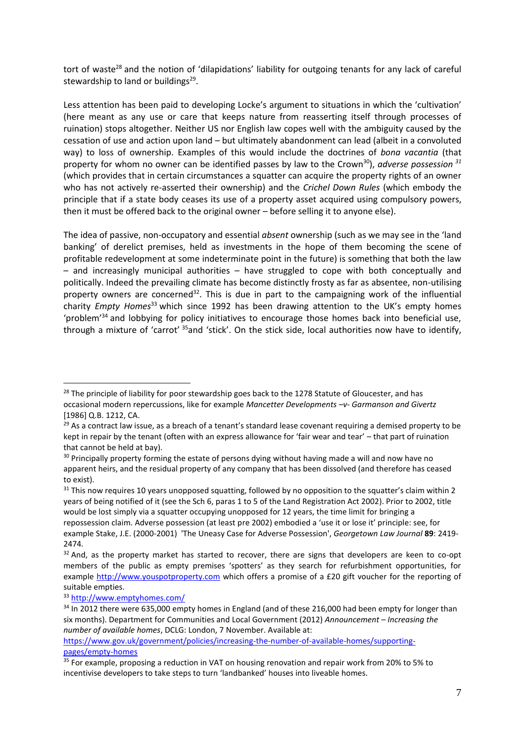tort of waste<sup>28</sup> and the notion of 'dilapidations' liability for outgoing tenants for any lack of careful stewardship to land or buildings<sup>29</sup>.

Less attention has been paid to developing Locke's argument to situations in which the 'cultivation' (here meant as any use or care that keeps nature from reasserting itself through processes of ruination) stops altogether. Neither US nor English law copes well with the ambiguity caused by the cessation of use and action upon land – but ultimately abandonment can lead (albeit in a convoluted way) to loss of ownership. Examples of this would include the doctrines of *bona vacantia* (that property for whom no owner can be identified passes by law to the Crown<sup>30</sup>), *adverse possession <sup>31</sup>* (which provides that in certain circumstances a squatter can acquire the property rights of an owner who has not actively re-asserted their ownership) and the *Crichel Down Rules* (which embody the principle that if a state body ceases its use of a property asset acquired using compulsory powers, then it must be offered back to the original owner – before selling it to anyone else).

The idea of passive, non-occupatory and essential *absent* ownership (such as we may see in the 'land banking' of derelict premises, held as investments in the hope of them becoming the scene of profitable redevelopment at some indeterminate point in the future) is something that both the law – and increasingly municipal authorities – have struggled to cope with both conceptually and politically. Indeed the prevailing climate has become distinctly frosty as far as absentee, non-utilising property owners are concerned<sup>32</sup>. This is due in part to the campaigning work of the influential charity *Empty Homes*<sup>33</sup> which since 1992 has been drawing attention to the UK's empty homes 'problem'<sup>34</sup> and lobbying for policy initiatives to encourage those homes back into beneficial use, through a mixture of 'carrot' <sup>35</sup>and 'stick'. On the stick side, local authorities now have to identify,

<sup>&</sup>lt;sup>28</sup> The principle of liability for poor stewardship goes back to the 1278 Statute of Gloucester, and has occasional modern repercussions, like for example *Mancetter Developments –v- Garmanson and Givertz* [1986] Q.B. 1212, CA.

<sup>&</sup>lt;sup>29</sup> As a contract law issue, as a breach of a tenant's standard lease covenant requiring a demised property to be kept in repair by the tenant (often with an express allowance for 'fair wear and tear' – that part of ruination that cannot be held at bay).

<sup>&</sup>lt;sup>30</sup> Principally property forming the estate of persons dying without having made a will and now have no apparent heirs, and the residual property of any company that has been dissolved (and therefore has ceased to exist).

<sup>&</sup>lt;sup>31</sup> This now requires 10 years unopposed squatting, followed by no opposition to the squatter's claim within 2 years of being notified of it (see the Sch 6, paras 1 to 5 of the Land Registration Act 2002). Prior to 2002, title would be lost simply via a squatter occupying unopposed for 12 years, the time limit for bringing a repossession claim. Adverse possession (at least pre 2002) embodied a 'use it or lose it' principle: see, for example Stake, J.E. (2000-2001) 'The Uneasy Case for Adverse Possession', *Georgetown Law Journal* **89**: 2419- 2474.

 $32$  And, as the property market has started to recover, there are signs that developers are keen to co-opt members of the public as empty premises 'spotters' as they search for refurbishment opportunities, for example [http://www.youspotproperty.com](http://www.youspotproperty.com/) which offers a promise of a £20 gift voucher for the reporting of suitable empties.

<sup>33</sup> <http://www.emptyhomes.com/>

<sup>&</sup>lt;sup>34</sup> In 2012 there were 635,000 empty homes in England (and of these 216,000 had been empty for longer than six months). Department for Communities and Local Government (2012) *Announcement – Increasing the number of available homes*, DCLG: London, 7 November. Available at:

[https://www.gov.uk/government/policies/increasing-the-number-of-available-homes/supporting](https://www.gov.uk/government/policies/increasing-the-number-of-available-homes/supporting-pages/empty-homes)[pages/empty-homes](https://www.gov.uk/government/policies/increasing-the-number-of-available-homes/supporting-pages/empty-homes)

<sup>&</sup>lt;sup>35</sup> For example, proposing a reduction in VAT on housing renovation and repair work from 20% to 5% to incentivise developers to take steps to turn 'landbanked' houses into liveable homes.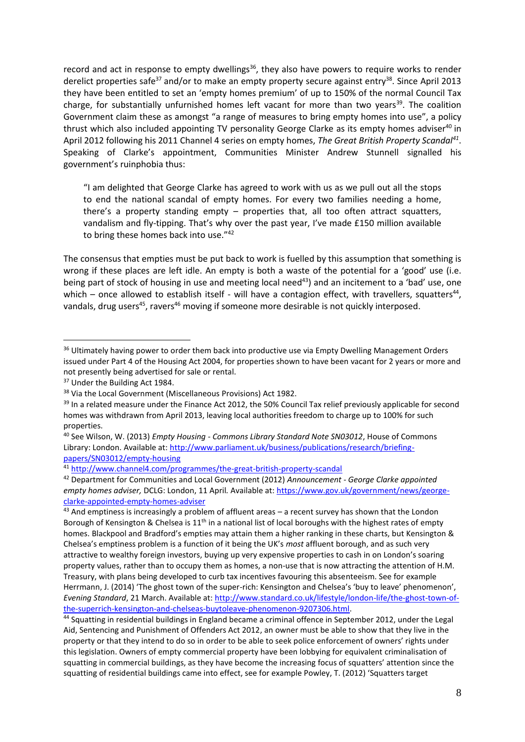record and act in response to empty dwellings<sup>36</sup>, they also have powers to require works to render derelict properties safe<sup>37</sup> and/or to make an empty property secure against entry<sup>38</sup>. Since April 2013 they have been entitled to set an 'empty homes premium' of up to 150% of the normal Council Tax charge, for substantially unfurnished homes left vacant for more than two years<sup>39</sup>. The coalition Government claim these as amongst "a range of measures to bring empty homes into use", a policy thrust which also included appointing TV personality George Clarke as its empty homes adviser<sup>40</sup> in April 2012 following his 2011 Channel 4 series on empty homes, *The Great British Property Scandal<sup>41</sup>* . Speaking of Clarke's appointment, Communities Minister Andrew Stunnell signalled his government's ruinphobia thus:

"I am delighted that George Clarke has agreed to work with us as we pull out all the stops to end the national scandal of empty homes. For every two families needing a home, there's a property standing empty – properties that, all too often attract squatters, vandalism and fly-tipping. That's why over the past year, I've made £150 million available to bring these homes back into use."42

The consensus that empties must be put back to work is fuelled by this assumption that something is wrong if these places are left idle. An empty is both a waste of the potential for a 'good' use (i.e. being part of stock of housing in use and meeting local need<sup>43</sup>) and an incitement to a 'bad' use, one which - once allowed to establish itself - will have a contagion effect, with travellers, squatters<sup>44</sup>, vandals, drug users<sup>45</sup>, ravers<sup>46</sup> moving if someone more desirable is not quickly interposed.

<sup>&</sup>lt;sup>36</sup> Ultimately having power to order them back into productive use via Empty Dwelling Management Orders issued under Part 4 of the Housing Act 2004, for properties shown to have been vacant for 2 years or more and not presently being advertised for sale or rental.

<sup>&</sup>lt;sup>37</sup> Under the Building Act 1984.

<sup>&</sup>lt;sup>38</sup> Via the Local Government (Miscellaneous Provisions) Act 1982.

<sup>&</sup>lt;sup>39</sup> In a related measure under the Finance Act 2012, the 50% Council Tax relief previously applicable for second homes was withdrawn from April 2013, leaving local authorities freedom to charge up to 100% for such properties.

<sup>40</sup> See Wilson, W. (2013) *Empty Housing - Commons Library Standard Note SN03012*, House of Commons Library: London. Available at[: http://www.parliament.uk/business/publications/research/briefing](http://www.parliament.uk/business/publications/research/briefing-papers/SN03012/empty-housing)[papers/SN03012/empty-housing](http://www.parliament.uk/business/publications/research/briefing-papers/SN03012/empty-housing)

<sup>41</sup> <http://www.channel4.com/programmes/the-great-british-property-scandal>

<sup>42</sup> Department for Communities and Local Government (2012) *Announcement - George Clarke appointed empty homes adviser,* DCLG: London, 11 April*.* Available at[: https://www.gov.uk/government/news/george](https://www.gov.uk/government/news/george-clarke-appointed-empty-homes-adviser)[clarke-appointed-empty-homes-adviser](https://www.gov.uk/government/news/george-clarke-appointed-empty-homes-adviser)

 $43$  And emptiness is increasingly a problem of affluent areas – a recent survey has shown that the London Borough of Kensington & Chelsea is 11<sup>th</sup> in a national list of local boroughs with the highest rates of empty homes. Blackpool and Bradford's empties may attain them a higher ranking in these charts, but Kensington & Chelsea's emptiness problem is a function of it being the UK's *most* affluent borough, and as such very attractive to wealthy foreign investors, buying up very expensive properties to cash in on London's soaring property values, rather than to occupy them as homes, a non-use that is now attracting the attention of H.M. Treasury, with plans being developed to curb tax incentives favouring this absenteeism. See for example Herrmann, J. (2014) 'The ghost town of the super-rich: Kensington and Chelsea's 'buy to leave' phenomenon', *Evening Standard*, 21 March. Available at[: http://www.standard.co.uk/lifestyle/london-life/the-ghost-town-of](http://www.standard.co.uk/lifestyle/london-life/the-ghost-town-of-the-superrich-kensington-and-chelseas-buytoleave-phenomenon-9207306.html)[the-superrich-kensington-and-chelseas-buytoleave-phenomenon-9207306.html.](http://www.standard.co.uk/lifestyle/london-life/the-ghost-town-of-the-superrich-kensington-and-chelseas-buytoleave-phenomenon-9207306.html)

<sup>44</sup> Squatting in residential buildings in England became a criminal offence in September 2012, under the Legal Aid, Sentencing and Punishment of Offenders Act 2012, an owner must be able to show that they live in the property or that they intend to do so in order to be able to seek police enforcement of owners' rights under this legislation. Owners of empty commercial property have been lobbying for equivalent criminalisation of squatting in commercial buildings, as they have become the increasing focus of squatters' attention since the squatting of residential buildings came into effect, see for example Powley, T. (2012) 'Squatters target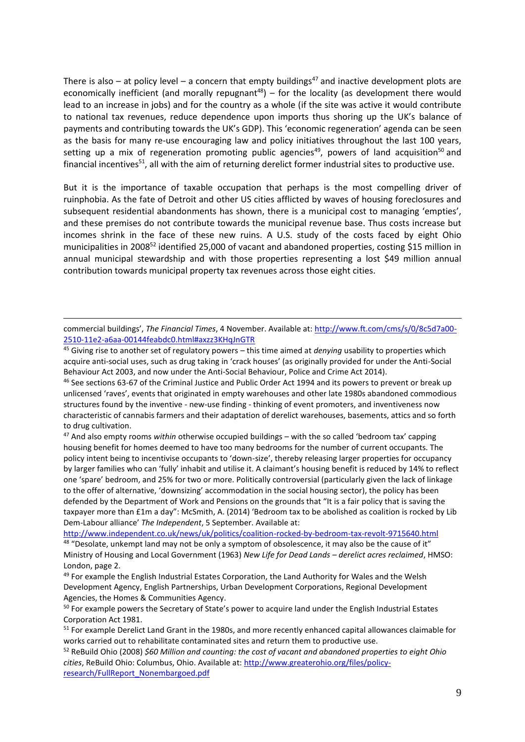There is also – at policy level – a concern that empty buildings<sup>47</sup> and inactive development plots are economically inefficient (and morally repugnant<sup>48</sup>) – for the locality (as development there would lead to an increase in jobs) and for the country as a whole (if the site was active it would contribute to national tax revenues, reduce dependence upon imports thus shoring up the UK's balance of payments and contributing towards the UK's GDP). This 'economic regeneration' agenda can be seen as the basis for many re-use encouraging law and policy initiatives throughout the last 100 years, setting up a mix of regeneration promoting public agencies<sup>49</sup>, powers of land acquisition<sup>50</sup> and financial incentives<sup>51</sup>, all with the aim of returning derelict former industrial sites to productive use.

But it is the importance of taxable occupation that perhaps is the most compelling driver of ruinphobia. As the fate of Detroit and other US cities afflicted by waves of housing foreclosures and subsequent residential abandonments has shown, there is a municipal cost to managing 'empties', and these premises do not contribute towards the municipal revenue base. Thus costs increase but incomes shrink in the face of these new ruins. A U.S. study of the costs faced by eight Ohio municipalities in 2008<sup>52</sup> identified 25,000 of vacant and abandoned properties, costing \$15 million in annual municipal stewardship and with those properties representing a lost \$49 million annual contribution towards municipal property tax revenues across those eight cities.

1

<sup>46</sup> See sections 63-67 of the Criminal Justice and Public Order Act 1994 and its powers to prevent or break up unlicensed 'raves', events that originated in empty warehouses and other late 1980s abandoned commodious structures found by the inventive - new-use finding - thinking of event promoters, and inventiveness now characteristic of cannabis farmers and their adaptation of derelict warehouses, basements, attics and so forth to drug cultivation.

<sup>47</sup> And also empty rooms *within* otherwise occupied buildings – with the so called 'bedroom tax' capping housing benefit for homes deemed to have too many bedrooms for the number of current occupants. The policy intent being to incentivise occupants to 'down-size', thereby releasing larger properties for occupancy by larger families who can 'fully' inhabit and utilise it. A claimant's housing benefit is reduced by 14% to reflect one 'spare' bedroom, and 25% for two or more. Politically controversial (particularly given the lack of linkage to the offer of alternative, 'downsizing' accommodation in the social housing sector), the policy has been defended by the Department of Work and Pensions on the grounds that "It is a fair policy that is saving the taxpayer more than £1m a day": McSmith, A. (2014) 'Bedroom tax to be abolished as coalition is rocked by Lib Dem-Labour alliance' *The Independent*, 5 September. Available at:

<http://www.independent.co.uk/news/uk/politics/coalition-rocked-by-bedroom-tax-revolt-9715640.html>

48 "Desolate, unkempt land may not be only a symptom of obsolescence, it may also be the cause of it" Ministry of Housing and Local Government (1963) *New Life for Dead Lands – derelict acres reclaimed*, HMSO: London, page 2.

commercial buildings', *The Financial Times*, 4 November. Available at: [http://www.ft.com/cms/s/0/8c5d7a00-](http://www.ft.com/cms/s/0/8c5d7a00-2510-11e2-a6aa-00144feabdc0.html#axzz3KHqJnGTR) [2510-11e2-a6aa-00144feabdc0.html#axzz3KHqJnGTR](http://www.ft.com/cms/s/0/8c5d7a00-2510-11e2-a6aa-00144feabdc0.html#axzz3KHqJnGTR)

<sup>45</sup> Giving rise to another set of regulatory powers – this time aimed at *denying* usability to properties which acquire anti-social uses, such as drug taking in 'crack houses' (as originally provided for under the Anti-Social Behaviour Act 2003, and now under the Anti-Social Behaviour, Police and Crime Act 2014).

<sup>&</sup>lt;sup>49</sup> For example the English Industrial Estates Corporation, the Land Authority for Wales and the Welsh Development Agency, English Partnerships, Urban Development Corporations, Regional Development Agencies, the Homes & Communities Agency.

<sup>&</sup>lt;sup>50</sup> For example powers the Secretary of State's power to acquire land under the English Industrial Estates Corporation Act 1981.

<sup>&</sup>lt;sup>51</sup> For example Derelict Land Grant in the 1980s, and more recently enhanced capital allowances claimable for works carried out to rehabilitate contaminated sites and return them to productive use.

<sup>52</sup> ReBuild Ohio (2008) *\$60 Million and counting: the cost of vacant and abandoned properties to eight Ohio cities*, ReBuild Ohio: Columbus, Ohio. Available at: [http://www.greaterohio.org/files/policy](http://www.greaterohio.org/files/policy-research/FullReport_Nonembargoed.pdf)[research/FullReport\\_Nonembargoed.pdf](http://www.greaterohio.org/files/policy-research/FullReport_Nonembargoed.pdf)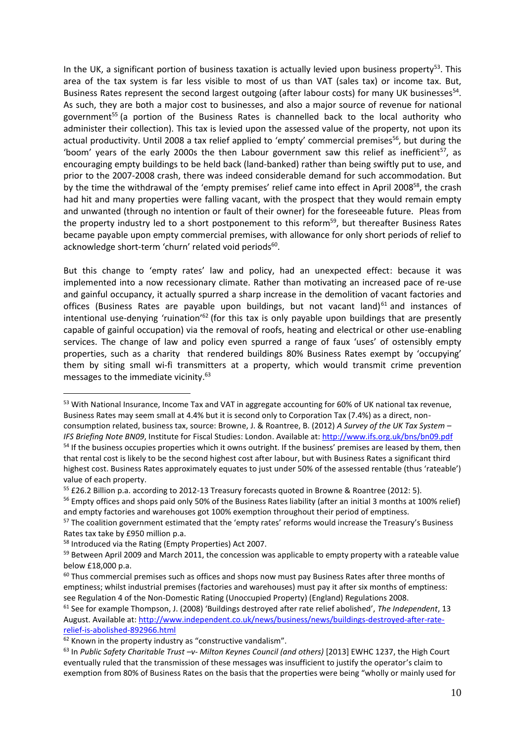In the UK, a significant portion of business taxation is actually levied upon business property<sup>53</sup>. This area of the tax system is far less visible to most of us than VAT (sales tax) or income tax. But, Business Rates represent the second largest outgoing (after labour costs) for many UK businesses<sup>54</sup>. As such, they are both a major cost to businesses, and also a major source of revenue for national government<sup>55</sup> (a portion of the Business Rates is channelled back to the local authority who administer their collection). This tax is levied upon the assessed value of the property, not upon its actual productivity. Until 2008 a tax relief applied to 'empty' commercial premises<sup>56</sup>, but during the 'boom' years of the early 2000s the then Labour government saw this relief as inefficient<sup>57</sup>, as encouraging empty buildings to be held back (land-banked) rather than being swiftly put to use, and prior to the 2007-2008 crash, there was indeed considerable demand for such accommodation. But by the time the withdrawal of the 'empty premises' relief came into effect in April 2008<sup>58</sup>, the crash had hit and many properties were falling vacant, with the prospect that they would remain empty and unwanted (through no intention or fault of their owner) for the foreseeable future. Pleas from the property industry led to a short postponement to this reform<sup>59</sup>, but thereafter Business Rates became payable upon empty commercial premises, with allowance for only short periods of relief to acknowledge short-term 'churn' related void periods<sup>60</sup>.

But this change to 'empty rates' law and policy, had an unexpected effect: because it was implemented into a now recessionary climate. Rather than motivating an increased pace of re-use and gainful occupancy, it actually spurred a sharp increase in the demolition of vacant factories and offices (Business Rates are payable upon buildings, but not vacant land)<sup>61</sup> and instances of intentional use-denying 'ruination'<sup>62</sup> (for this tax is only payable upon buildings that are presently capable of gainful occupation) via the removal of roofs, heating and electrical or other use-enabling services. The change of law and policy even spurred a range of faux 'uses' of ostensibly empty properties, such as a charity that rendered buildings 80% Business Rates exempt by 'occupying' them by siting small wi-fi transmitters at a property, which would transmit crime prevention messages to the immediate vicinity. 63

1

<sup>61</sup> See for example Thompson, J. (2008) 'Buildings destroyed after rate relief abolished', *The Independent*, 13 August. Available at[: http://www.independent.co.uk/news/business/news/buildings-destroyed-after-rate](http://www.independent.co.uk/news/business/news/buildings-destroyed-after-rate-relief-is-abolished-892966.html)[relief-is-abolished-892966.html](http://www.independent.co.uk/news/business/news/buildings-destroyed-after-rate-relief-is-abolished-892966.html)

<sup>53</sup> With National Insurance, Income Tax and VAT in aggregate accounting for 60% of UK national tax revenue, Business Rates may seem small at 4.4% but it is second only to Corporation Tax (7.4%) as a direct, nonconsumption related, business tax, source: Browne, J. & Roantree, B. (2012) *A Survey of the UK Tax System – IFS Briefing Note BN09*, Institute for Fiscal Studies: London. Available at[: http://www.ifs.org.uk/bns/bn09.pdf](http://www.ifs.org.uk/bns/bn09.pdf) <sup>54</sup> If the business occupies properties which it owns outright. If the business' premises are leased by them, then that rental cost is likely to be the second highest cost after labour, but with Business Rates a significant third

highest cost. Business Rates approximately equates to just under 50% of the assessed rentable (thus 'rateable') value of each property.

<sup>&</sup>lt;sup>55</sup> £26.2 Billion p.a. according to 2012-13 Treasury forecasts quoted in Browne & Roantree (2012: 5).

<sup>&</sup>lt;sup>56</sup> Empty offices and shops paid only 50% of the Business Rates liability (after an initial 3 months at 100% relief) and empty factories and warehouses got 100% exemption throughout their period of emptiness.

<sup>&</sup>lt;sup>57</sup> The coalition government estimated that the 'empty rates' reforms would increase the Treasury's Business Rates tax take by £950 million p.a.

<sup>58</sup> Introduced via the Rating (Empty Properties) Act 2007.

<sup>&</sup>lt;sup>59</sup> Between April 2009 and March 2011, the concession was applicable to empty property with a rateable value below £18,000 p.a.

 $60$  Thus commercial premises such as offices and shops now must pay Business Rates after three months of emptiness; whilst industrial premises (factories and warehouses) must pay it after six months of emptiness: see Regulation 4 of the Non-Domestic Rating (Unoccupied Property) (England) Regulations 2008.

<sup>&</sup>lt;sup>62</sup> Known in the property industry as "constructive vandalism".

<sup>63</sup> In *Public Safety Charitable Trust –v- Milton Keynes Council (and others)* [2013] EWHC 1237, the High Court eventually ruled that the transmission of these messages was insufficient to justify the operator's claim to exemption from 80% of Business Rates on the basis that the properties were being "wholly or mainly used for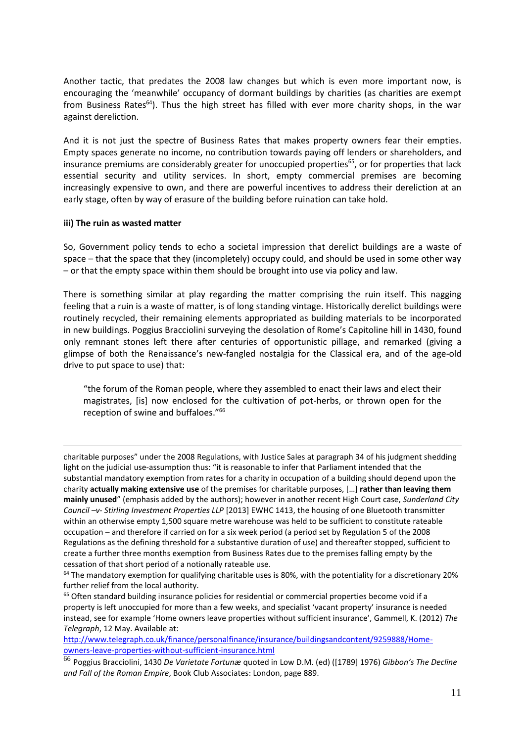Another tactic, that predates the 2008 law changes but which is even more important now, is encouraging the 'meanwhile' occupancy of dormant buildings by charities (as charities are exempt from Business Rates<sup>64</sup>). Thus the high street has filled with ever more charity shops, in the war against dereliction.

And it is not just the spectre of Business Rates that makes property owners fear their empties. Empty spaces generate no income, no contribution towards paying off lenders or shareholders, and insurance premiums are considerably greater for unoccupied properties<sup>65</sup>, or for properties that lack essential security and utility services. In short, empty commercial premises are becoming increasingly expensive to own, and there are powerful incentives to address their dereliction at an early stage, often by way of erasure of the building before ruination can take hold.

#### **iii) The ruin as wasted matter**

<u>.</u>

So, Government policy tends to echo a societal impression that derelict buildings are a waste of space – that the space that they (incompletely) occupy could, and should be used in some other way – or that the empty space within them should be brought into use via policy and law.

There is something similar at play regarding the matter comprising the ruin itself. This nagging feeling that a ruin is a waste of matter, is of long standing vintage. Historically derelict buildings were routinely recycled, their remaining elements appropriated as building materials to be incorporated in new buildings. Poggius Bracciolini surveying the desolation of Rome's Capitoline hill in 1430, found only remnant stones left there after centuries of opportunistic pillage, and remarked (giving a glimpse of both the Renaissance's new-fangled nostalgia for the Classical era, and of the age-old drive to put space to use) that:

"the forum of the Roman people, where they assembled to enact their laws and elect their magistrates, [is] now enclosed for the cultivation of pot-herbs, or thrown open for the reception of swine and buffaloes." 66

charitable purposes" under the 2008 Regulations, with Justice Sales at paragraph 34 of his judgment shedding light on the judicial use-assumption thus: "it is reasonable to infer that Parliament intended that the substantial mandatory exemption from rates for a charity in occupation of a building should depend upon the charity **actually making extensive use** of the premises for charitable purposes, […] **rather than leaving them mainly unused**" (emphasis added by the authors); however in another recent High Court case, *Sunderland City Council –v- Stirling Investment Properties LLP* [2013] EWHC 1413, the housing of one Bluetooth transmitter within an otherwise empty 1,500 square metre warehouse was held to be sufficient to constitute rateable occupation – and therefore if carried on for a six week period (a period set by Regulation 5 of the 2008 Regulations as the defining threshold for a substantive duration of use) and thereafter stopped, sufficient to create a further three months exemption from Business Rates due to the premises falling empty by the cessation of that short period of a notionally rateable use.

[http://www.telegraph.co.uk/finance/personalfinance/insurance/buildingsandcontent/9259888/Home](http://www.telegraph.co.uk/finance/personalfinance/insurance/buildingsandcontent/9259888/Home-owners-leave-properties-without-sufficient-insurance.html)[owners-leave-properties-without-sufficient-insurance.html](http://www.telegraph.co.uk/finance/personalfinance/insurance/buildingsandcontent/9259888/Home-owners-leave-properties-without-sufficient-insurance.html)

<sup>&</sup>lt;sup>64</sup> The mandatory exemption for qualifying charitable uses is 80%, with the potentiality for a discretionary 20% further relief from the local authority.

<sup>&</sup>lt;sup>65</sup> Often standard building insurance policies for residential or commercial properties become void if a property is left unoccupied for more than a few weeks, and specialist 'vacant property' insurance is needed instead, see for example 'Home owners leave properties without sufficient insurance', Gammell, K. (2012) *The Telegraph*, 12 May. Available at:

<sup>66</sup> Poggius Bracciolini, 1430 *De Varietate Fortunæ* quoted in Low D.M. (ed) ([1789] 1976) *Gibbon's The Decline and Fall of the Roman Empire*, Book Club Associates: London, page 889.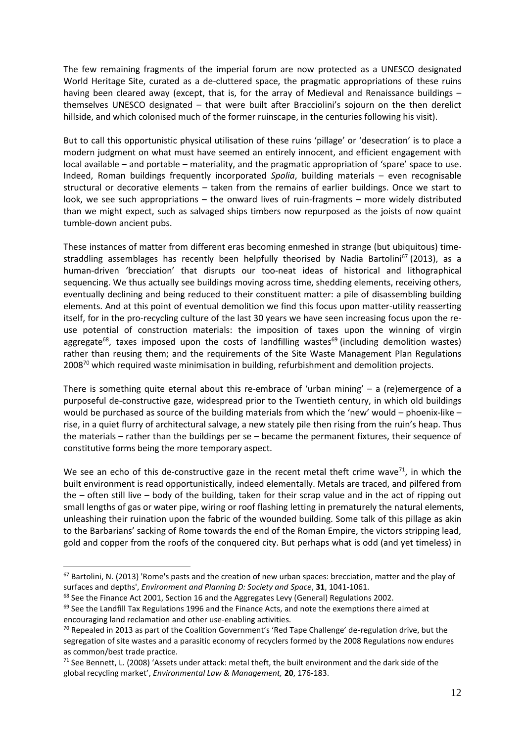The few remaining fragments of the imperial forum are now protected as a UNESCO designated World Heritage Site, curated as a de-cluttered space, the pragmatic appropriations of these ruins having been cleared away (except, that is, for the array of Medieval and Renaissance buildings – themselves UNESCO designated – that were built after Bracciolini's sojourn on the then derelict hillside, and which colonised much of the former ruinscape, in the centuries following his visit).

But to call this opportunistic physical utilisation of these ruins 'pillage' or 'desecration' is to place a modern judgment on what must have seemed an entirely innocent, and efficient engagement with local available – and portable – materiality, and the pragmatic appropriation of 'spare' space to use. Indeed, Roman buildings frequently incorporated *Spolia*, building materials – even recognisable structural or decorative elements – taken from the remains of earlier buildings. Once we start to look, we see such appropriations – the onward lives of ruin-fragments – more widely distributed than we might expect, such as salvaged ships timbers now repurposed as the joists of now quaint tumble-down ancient pubs.

These instances of matter from different eras becoming enmeshed in strange (but ubiquitous) timestraddling assemblages has recently been helpfully theorised by Nadia Bartolini<sup>67</sup> (2013), as a human-driven 'brecciation' that disrupts our too-neat ideas of historical and lithographical sequencing. We thus actually see buildings moving across time, shedding elements, receiving others, eventually declining and being reduced to their constituent matter: a pile of disassembling building elements. And at this point of eventual demolition we find this focus upon matter-utility reasserting itself, for in the pro-recycling culture of the last 30 years we have seen increasing focus upon the reuse potential of construction materials: the imposition of taxes upon the winning of virgin aggregate<sup>68</sup>, taxes imposed upon the costs of landfilling wastes<sup>69</sup> (including demolition wastes) rather than reusing them; and the requirements of the Site Waste Management Plan Regulations 2008<sup>70</sup> which required waste minimisation in building, refurbishment and demolition projects.

There is something quite eternal about this re-embrace of 'urban mining' – a (re)emergence of a purposeful de-constructive gaze, widespread prior to the Twentieth century, in which old buildings would be purchased as source of the building materials from which the 'new' would – phoenix-like – rise, in a quiet flurry of architectural salvage, a new stately pile then rising from the ruin's heap. Thus the materials – rather than the buildings per se – became the permanent fixtures, their sequence of constitutive forms being the more temporary aspect.

We see an echo of this de-constructive gaze in the recent metal theft crime wave<sup>71</sup>, in which the built environment is read opportunistically, indeed elementally. Metals are traced, and pilfered from the – often still live – body of the building, taken for their scrap value and in the act of ripping out small lengths of gas or water pipe, wiring or roof flashing letting in prematurely the natural elements, unleashing their ruination upon the fabric of the wounded building. Some talk of this pillage as akin to the Barbarians' sacking of Rome towards the end of the Roman Empire, the victors stripping lead, gold and copper from the roofs of the conquered city. But perhaps what is odd (and yet timeless) in

 $67$  Bartolini, N. (2013) 'Rome's pasts and the creation of new urban spaces: brecciation, matter and the play of surfaces and depths', *Environment and Planning D: Society and Space*, **31**, 1041-1061.

<sup>&</sup>lt;sup>68</sup> See the Finance Act 2001, Section 16 and the Aggregates Levy (General) Regulations 2002.

<sup>&</sup>lt;sup>69</sup> See the Landfill Tax Regulations 1996 and the Finance Acts, and note the exemptions there aimed at encouraging land reclamation and other use-enabling activities.

 $70$  Repealed in 2013 as part of the Coalition Government's 'Red Tape Challenge' de-regulation drive, but the segregation of site wastes and a parasitic economy of recyclers formed by the 2008 Regulations now endures as common/best trade practice.

 $71$  See Bennett, L. (2008) 'Assets under attack: metal theft, the built environment and the dark side of the global recycling market', *Environmental Law & Management,* **20**, 176-183.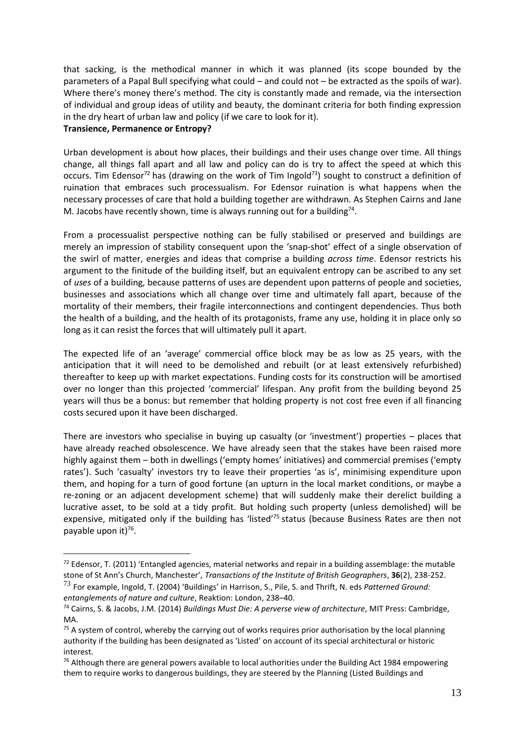that sacking, is the methodical manner in which it was planned (its scope bounded by the parameters of a Papal Bull specifying what could – and could not – be extracted as the spoils of war). Where there's money there's method. The city is constantly made and remade, via the intersection of individual and group ideas of utility and beauty, the dominant criteria for both finding expression in the dry heart of urban law and policy (if we care to look for it).

#### **Transience, Permanence or Entropy?**

1

Urban development is about how places, their buildings and their uses change over time. All things change, all things fall apart and all law and policy can do is try to affect the speed at which this occurs. Tim Edensor<sup>72</sup> has (drawing on the work of Tim Ingold<sup>73</sup>) sought to construct a definition of ruination that embraces such processualism. For Edensor ruination is what happens when the necessary processes of care that hold a building together are withdrawn. As Stephen Cairns and Jane M. Jacobs have recently shown, time is always running out for a building<sup>74</sup>.

From a processualist perspective nothing can be fully stabilised or preserved and buildings are merely an impression of stability consequent upon the 'snap-shot' effect of a single observation of the swirl of matter, energies and ideas that comprise a building *across time*. Edensor restricts his argument to the finitude of the building itself, but an equivalent entropy can be ascribed to any set of *uses* of a building, because patterns of uses are dependent upon patterns of people and societies, businesses and associations which all change over time and ultimately fall apart, because of the mortality of their members, their fragile interconnections and contingent dependencies. Thus both the health of a building, and the health of its protagonists, frame any use, holding it in place only so long as it can resist the forces that will ultimately pull it apart.

The expected life of an 'average' commercial office block may be as low as 25 years, with the anticipation that it will need to be demolished and rebuilt (or at least extensively refurbished) thereafter to keep up with market expectations. Funding costs for its construction will be amortised over no longer than this projected 'commercial' lifespan. Any profit from the building beyond 25 years will thus be a bonus: but remember that holding property is not cost free even if all financing costs secured upon it have been discharged.

There are investors who specialise in buying up casualty (or 'investment') properties – places that have already reached obsolescence. We have already seen that the stakes have been raised more highly against them – both in dwellings ('empty homes' initiatives) and commercial premises ('empty rates'). Such 'casualty' investors try to leave their properties 'as is', minimising expenditure upon them, and hoping for a turn of good fortune (an upturn in the local market conditions, or maybe a re-zoning or an adjacent development scheme) that will suddenly make their derelict building a lucrative asset, to be sold at a tidy profit. But holding such property (unless demolished) will be expensive, mitigated only if the building has 'listed'<sup>75</sup> status (because Business Rates are then not payable upon it) 76 .

<sup>&</sup>lt;sup>72</sup> Edensor, T. (2011) 'Entangled agencies, material networks and repair in a building assemblage: the mutable stone of St Ann's Church, Manchester', *Transactions of the Institute of British Geographers*, **36**(2), 238-252.

<sup>73</sup> For example, Ingold, T. (2004) 'Buildings' in Harrison, S., Pile, S. and Thrift, N. eds *Patterned Ground: entanglements of nature and culture*, Reaktion: London, 238–40.

<sup>74</sup> Cairns, S. & Jacobs, J.M. (2014) *Buildings Must Die: A perverse view of architecture*, MIT Press: Cambridge, MA.

 $75$  A system of control, whereby the carrying out of works requires prior authorisation by the local planning authority if the building has been designated as 'Listed' on account of its special architectural or historic interest.

 $76$  Although there are general powers available to local authorities under the Building Act 1984 empowering them to require works to dangerous buildings, they are steered by the Planning (Listed Buildings and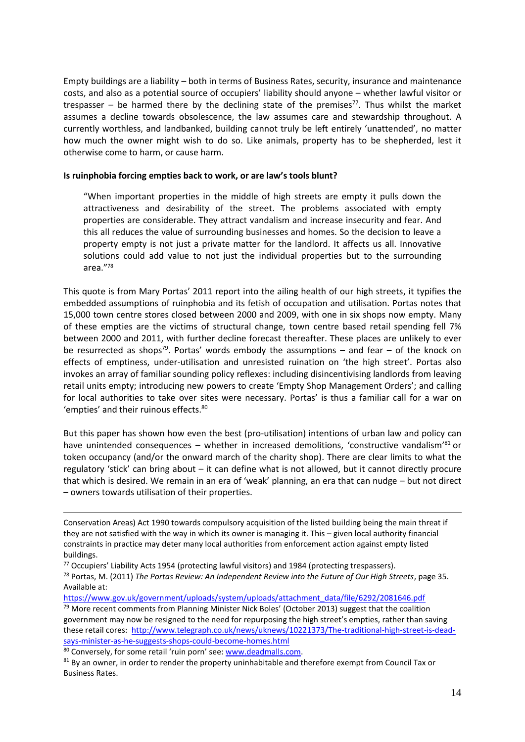Empty buildings are a liability – both in terms of Business Rates, security, insurance and maintenance costs, and also as a potential source of occupiers' liability should anyone – whether lawful visitor or trespasser  $-$  be harmed there by the declining state of the premises<sup>77</sup>. Thus whilst the market assumes a decline towards obsolescence, the law assumes care and stewardship throughout. A currently worthless, and landbanked, building cannot truly be left entirely 'unattended', no matter how much the owner might wish to do so. Like animals, property has to be shepherded, lest it otherwise come to harm, or cause harm.

#### **Is ruinphobia forcing empties back to work, or are law's tools blunt?**

"When important properties in the middle of high streets are empty it pulls down the attractiveness and desirability of the street. The problems associated with empty properties are considerable. They attract vandalism and increase insecurity and fear. And this all reduces the value of surrounding businesses and homes. So the decision to leave a property empty is not just a private matter for the landlord. It affects us all. Innovative solutions could add value to not just the individual properties but to the surrounding area."<sup>78</sup>

This quote is from Mary Portas' 2011 report into the ailing health of our high streets, it typifies the embedded assumptions of ruinphobia and its fetish of occupation and utilisation. Portas notes that 15,000 town centre stores closed between 2000 and 2009, with one in six shops now empty. Many of these empties are the victims of structural change, town centre based retail spending fell 7% between 2000 and 2011, with further decline forecast thereafter. These places are unlikely to ever be resurrected as shops<sup>79</sup>. Portas' words embody the assumptions – and fear – of the knock on effects of emptiness, under-utilisation and unresisted ruination on 'the high street'. Portas also invokes an array of familiar sounding policy reflexes: including disincentivising landlords from leaving retail units empty; introducing new powers to create 'Empty Shop Management Orders'; and calling for local authorities to take over sites were necessary. Portas' is thus a familiar call for a war on 'empties' and their ruinous effects.<sup>80</sup>

But this paper has shown how even the best (pro-utilisation) intentions of urban law and policy can have unintended consequences - whether in increased demolitions, 'constructive vandalism'<sup>81</sup> or token occupancy (and/or the onward march of the charity shop). There are clear limits to what the regulatory 'stick' can bring about – it can define what is not allowed, but it cannot directly procure that which is desired. We remain in an era of 'weak' planning, an era that can nudge – but not direct – owners towards utilisation of their properties.

Conservation Areas) Act 1990 towards compulsory acquisition of the listed building being the main threat if they are not satisfied with the way in which its owner is managing it. This – given local authority financial constraints in practice may deter many local authorities from enforcement action against empty listed buildings.

<sup>77</sup> Occupiers' Liability Acts 1954 (protecting lawful visitors) and 1984 (protecting trespassers).

<sup>78</sup> Portas, M. (2011) *The Portas Review: An Independent Review into the Future of Our High Streets*, page 35. Available at:

[https://www.gov.uk/government/uploads/system/uploads/attachment\\_data/file/6292/2081646.pdf](https://www.gov.uk/government/uploads/system/uploads/attachment_data/file/6292/2081646.pdf)

 $79$  More recent comments from Planning Minister Nick Boles' (October 2013) suggest that the coalition government may now be resigned to the need for repurposing the high street's empties, rather than saving these retail cores: [http://www.telegraph.co.uk/news/uknews/10221373/The-traditional-high-street-is-dead](http://www.telegraph.co.uk/news/uknews/10221373/The-traditional-high-street-is-dead-says-minister-as-he-suggests-shops-could-become-homes.html)[says-minister-as-he-suggests-shops-could-become-homes.html](http://www.telegraph.co.uk/news/uknews/10221373/The-traditional-high-street-is-dead-says-minister-as-he-suggests-shops-could-become-homes.html)

<sup>80</sup> Conversely, for some retail 'ruin porn' see: [www.deadmalls.com.](http://www.deadmalls.com/)

<sup>81</sup> By an owner, in order to render the property uninhabitable and therefore exempt from Council Tax or Business Rates.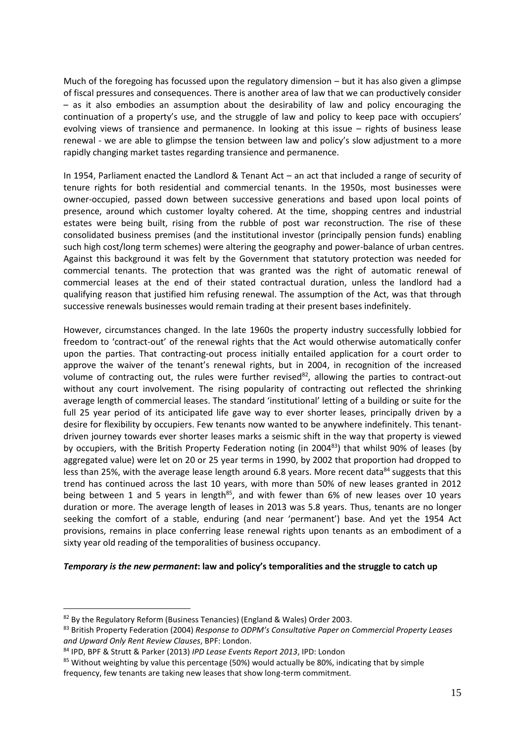Much of the foregoing has focussed upon the regulatory dimension – but it has also given a glimpse of fiscal pressures and consequences. There is another area of law that we can productively consider – as it also embodies an assumption about the desirability of law and policy encouraging the continuation of a property's use, and the struggle of law and policy to keep pace with occupiers' evolving views of transience and permanence. In looking at this issue – rights of business lease renewal - we are able to glimpse the tension between law and policy's slow adjustment to a more rapidly changing market tastes regarding transience and permanence.

In 1954, Parliament enacted the Landlord & Tenant Act – an act that included a range of security of tenure rights for both residential and commercial tenants. In the 1950s, most businesses were owner-occupied, passed down between successive generations and based upon local points of presence, around which customer loyalty cohered. At the time, shopping centres and industrial estates were being built, rising from the rubble of post war reconstruction. The rise of these consolidated business premises (and the institutional investor (principally pension funds) enabling such high cost/long term schemes) were altering the geography and power-balance of urban centres. Against this background it was felt by the Government that statutory protection was needed for commercial tenants. The protection that was granted was the right of automatic renewal of commercial leases at the end of their stated contractual duration, unless the landlord had a qualifying reason that justified him refusing renewal. The assumption of the Act, was that through successive renewals businesses would remain trading at their present bases indefinitely.

However, circumstances changed. In the late 1960s the property industry successfully lobbied for freedom to 'contract-out' of the renewal rights that the Act would otherwise automatically confer upon the parties. That contracting-out process initially entailed application for a court order to approve the waiver of the tenant's renewal rights, but in 2004, in recognition of the increased volume of contracting out, the rules were further revised<sup>82</sup>, allowing the parties to contract-out without any court involvement. The rising popularity of contracting out reflected the shrinking average length of commercial leases. The standard 'institutional' letting of a building or suite for the full 25 year period of its anticipated life gave way to ever shorter leases, principally driven by a desire for flexibility by occupiers. Few tenants now wanted to be anywhere indefinitely. This tenantdriven journey towards ever shorter leases marks a seismic shift in the way that property is viewed by occupiers, with the British Property Federation noting (in 2004<sup>83</sup>) that whilst 90% of leases (by aggregated value) were let on 20 or 25 year terms in 1990, by 2002 that proportion had dropped to less than 25%, with the average lease length around 6.8 years. More recent data  $84$  suggests that this trend has continued across the last 10 years, with more than 50% of new leases granted in 2012 being between 1 and 5 years in length<sup>85</sup>, and with fewer than 6% of new leases over 10 years duration or more. The average length of leases in 2013 was 5.8 years. Thus, tenants are no longer seeking the comfort of a stable, enduring (and near 'permanent') base. And yet the 1954 Act provisions, remains in place conferring lease renewal rights upon tenants as an embodiment of a sixty year old reading of the temporalities of business occupancy.

#### *Temporary is the new permanent***: law and policy's temporalities and the struggle to catch up**

<sup>&</sup>lt;sup>82</sup> By the Regulatory Reform (Business Tenancies) (England & Wales) Order 2003.

<sup>83</sup> British Property Federation (2004) *Response to ODPM's Consultative Paper on Commercial Property Leases and Upward Only Rent Review Clauses*, BPF: London.

<sup>84</sup> IPD, BPF & Strutt & Parker (2013) *IPD Lease Events Report 2013*, IPD: London

<sup>&</sup>lt;sup>85</sup> Without weighting by value this percentage (50%) would actually be 80%, indicating that by simple frequency, few tenants are taking new leases that show long-term commitment.